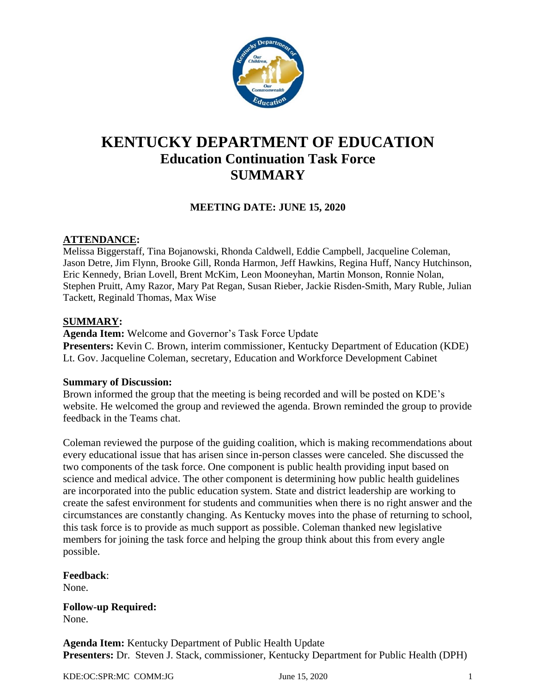

# **KENTUCKY DEPARTMENT OF EDUCATION Education Continuation Task Force SUMMARY**

# **MEETING DATE: JUNE 15, 2020**

### **ATTENDANCE:**

Melissa Biggerstaff, Tina Bojanowski, Rhonda Caldwell, Eddie Campbell, Jacqueline Coleman, Jason Detre, Jim Flynn, Brooke Gill, Ronda Harmon, Jeff Hawkins, Regina Huff, Nancy Hutchinson, Eric Kennedy, Brian Lovell, Brent McKim, Leon Mooneyhan, Martin Monson, Ronnie Nolan, Stephen Pruitt, Amy Razor, Mary Pat Regan, Susan Rieber, Jackie Risden-Smith, Mary Ruble, Julian Tackett, Reginald Thomas, Max Wise

#### **SUMMARY:**

**Agenda Item:** Welcome and Governor's Task Force Update **Presenters:** Kevin C. Brown, interim commissioner, Kentucky Department of Education (KDE) Lt. Gov. Jacqueline Coleman, secretary, Education and Workforce Development Cabinet

#### **Summary of Discussion:**

Brown informed the group that the meeting is being recorded and will be posted on KDE's website. He welcomed the group and reviewed the agenda. Brown reminded the group to provide feedback in the Teams chat.

Coleman reviewed the purpose of the guiding coalition, which is making recommendations about every educational issue that has arisen since in-person classes were canceled. She discussed the two components of the task force. One component is public health providing input based on science and medical advice. The other component is determining how public health guidelines are incorporated into the public education system. State and district leadership are working to create the safest environment for students and communities when there is no right answer and the circumstances are constantly changing. As Kentucky moves into the phase of returning to school, this task force is to provide as much support as possible. Coleman thanked new legislative members for joining the task force and helping the group think about this from every angle possible.

**Feedback**: None.

**Follow-up Required:** None.

**Agenda Item:** Kentucky Department of Public Health Update **Presenters:** Dr. Steven J. Stack, commissioner, Kentucky Department for Public Health (DPH)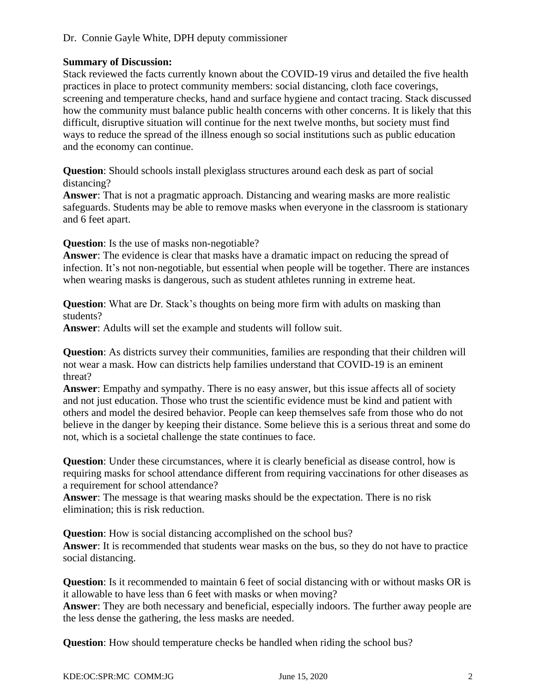# **Summary of Discussion:**

Stack reviewed the facts currently known about the COVID-19 virus and detailed the five health practices in place to protect community members: social distancing, cloth face coverings, screening and temperature checks, hand and surface hygiene and contact tracing. Stack discussed how the community must balance public health concerns with other concerns. It is likely that this difficult, disruptive situation will continue for the next twelve months, but society must find ways to reduce the spread of the illness enough so social institutions such as public education and the economy can continue.

**Question**: Should schools install plexiglass structures around each desk as part of social distancing?

**Answer**: That is not a pragmatic approach. Distancing and wearing masks are more realistic safeguards. Students may be able to remove masks when everyone in the classroom is stationary and 6 feet apart.

**Question**: Is the use of masks non-negotiable?

**Answer**: The evidence is clear that masks have a dramatic impact on reducing the spread of infection. It's not non-negotiable, but essential when people will be together. There are instances when wearing masks is dangerous, such as student athletes running in extreme heat.

**Question**: What are Dr. Stack's thoughts on being more firm with adults on masking than students?

**Answer**: Adults will set the example and students will follow suit.

**Question:** As districts survey their communities, families are responding that their children will not wear a mask. How can districts help families understand that COVID-19 is an eminent threat?

**Answer**: Empathy and sympathy. There is no easy answer, but this issue affects all of society and not just education. Those who trust the scientific evidence must be kind and patient with others and model the desired behavior. People can keep themselves safe from those who do not believe in the danger by keeping their distance. Some believe this is a serious threat and some do not, which is a societal challenge the state continues to face.

**Question**: Under these circumstances, where it is clearly beneficial as disease control, how is requiring masks for school attendance different from requiring vaccinations for other diseases as a requirement for school attendance?

**Answer**: The message is that wearing masks should be the expectation. There is no risk elimination; this is risk reduction.

**Question**: How is social distancing accomplished on the school bus?

**Answer**: It is recommended that students wear masks on the bus, so they do not have to practice social distancing.

**Question**: Is it recommended to maintain 6 feet of social distancing with or without masks OR is it allowable to have less than 6 feet with masks or when moving?

**Answer**: They are both necessary and beneficial, especially indoors. The further away people are the less dense the gathering, the less masks are needed.

**Question**: How should temperature checks be handled when riding the school bus?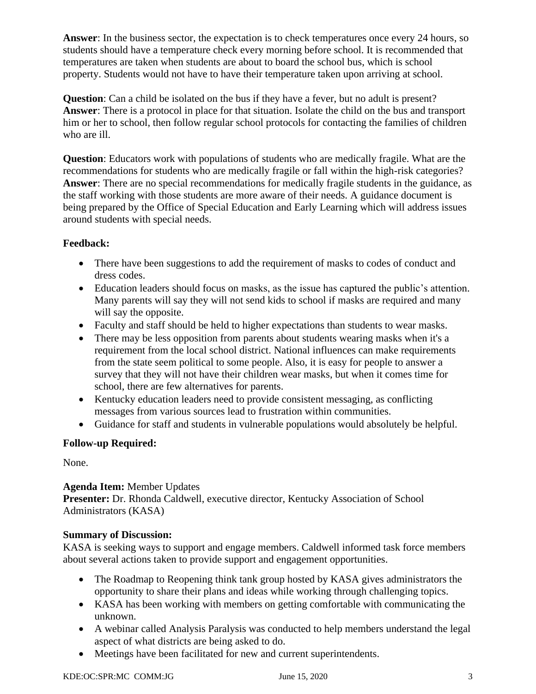**Answer**: In the business sector, the expectation is to check temperatures once every 24 hours, so students should have a temperature check every morning before school. It is recommended that temperatures are taken when students are about to board the school bus, which is school property. Students would not have to have their temperature taken upon arriving at school.

**Question**: Can a child be isolated on the bus if they have a fever, but no adult is present? **Answer**: There is a protocol in place for that situation. Isolate the child on the bus and transport him or her to school, then follow regular school protocols for contacting the families of children who are ill.

**Question**: Educators work with populations of students who are medically fragile. What are the recommendations for students who are medically fragile or fall within the high-risk categories? **Answer**: There are no special recommendations for medically fragile students in the guidance, as the staff working with those students are more aware of their needs. A guidance document is being prepared by the Office of Special Education and Early Learning which will address issues around students with special needs.

# **Feedback:**

- There have been suggestions to add the requirement of masks to codes of conduct and dress codes.
- Education leaders should focus on masks, as the issue has captured the public's attention. Many parents will say they will not send kids to school if masks are required and many will say the opposite.
- Faculty and staff should be held to higher expectations than students to wear masks.
- There may be less opposition from parents about students wearing masks when it's a requirement from the local school district. National influences can make requirements from the state seem political to some people. Also, it is easy for people to answer a survey that they will not have their children wear masks, but when it comes time for school, there are few alternatives for parents.
- Kentucky education leaders need to provide consistent messaging, as conflicting messages from various sources lead to frustration within communities.
- Guidance for staff and students in vulnerable populations would absolutely be helpful.

# **Follow-up Required:**

None.

# **Agenda Item:** Member Updates

**Presenter:** Dr. Rhonda Caldwell, executive director, Kentucky Association of School Administrators (KASA)

# **Summary of Discussion:**

KASA is seeking ways to support and engage members. Caldwell informed task force members about several actions taken to provide support and engagement opportunities.

- The Roadmap to Reopening think tank group hosted by KASA gives administrators the opportunity to share their plans and ideas while working through challenging topics.
- KASA has been working with members on getting comfortable with communicating the unknown.
- A webinar called Analysis Paralysis was conducted to help members understand the legal aspect of what districts are being asked to do.
- Meetings have been facilitated for new and current superintendents.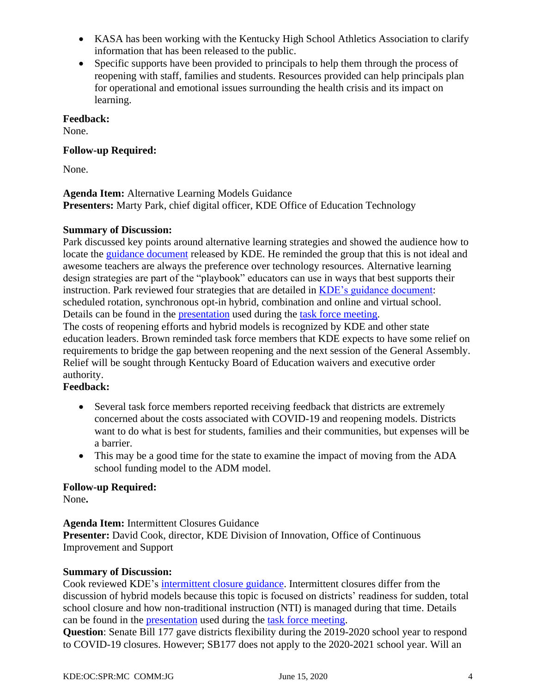- KASA has been working with the Kentucky High School Athletics Association to clarify information that has been released to the public.
- Specific supports have been provided to principals to help them through the process of reopening with staff, families and students. Resources provided can help principals plan for operational and emotional issues surrounding the health crisis and its impact on learning.

### **Feedback:**

None.

### **Follow-up Required:**

None.

#### **Agenda Item:** Alternative Learning Models Guidance **Presenters:** Marty Park, chief digital officer, KDE Office of Education Technology

### **Summary of Discussion:**

Park discussed key points around alternative learning strategies and showed the audience how to locate the guidance [document](https://education.ky.gov/comm/Documents/Reopening%20-Alternative%20Learning%20Design%20Strategies%20FINAL%206-8-20.pdf) released by KDE. He reminded the group that this is not ideal and awesome teachers are always the preference over technology resources. Alternative learning design strategies are part of the "playbook" educators can use in ways that best supports their instruction. Park reviewed four strategies that are detailed in [KDE's guidance document:](https://education.ky.gov/comm/Documents/Reopening%20-Alternative%20Learning%20Design%20Strategies%20FINAL%206-8-20.pdf) scheduled rotation, synchronous opt-in hybrid, combination and online and virtual school. Details can be found in the [presentation](https://education.ky.gov/CommOfEd/adv/Documents/Education%20Continuation/2020Jun15%20task%20force%20slides%20(002).pdf) used during the [task force meeting.](https://mediaportal.education.ky.gov/advisory-groups/2020/06/education-continuation-task-force-june-15-2020/) The costs of reopening efforts and hybrid models is recognized by KDE and other state education leaders. Brown reminded task force members that KDE expects to have some relief on requirements to bridge the gap between reopening and the next session of the General Assembly. Relief will be sought through Kentucky Board of Education waivers and executive order

#### authority. **Feedback:**

- - Several task force members reported receiving feedback that districts are extremely concerned about the costs associated with COVID-19 and reopening models. Districts want to do what is best for students, families and their communities, but expenses will be a barrier.
	- This may be a good time for the state to examine the impact of moving from the ADA school funding model to the ADM model.

# **Follow-up Required:**

None**.**

**Agenda Item:** Intermittent Closures Guidance **Presenter:** David Cook, director, KDE Division of Innovation, Office of Continuous Improvement and Support

#### **Summary of Discussion:**

Cook reviewed KDE's intermittent [closure guidance.](https://education.ky.gov/comm/Documents/Intermittent%20Closure%20Guidance%20061120%20FINAL.pdf) Intermittent closures differ from the discussion of hybrid models because this topic is focused on districts' readiness for sudden, total school closure and how non-traditional instruction (NTI) is managed during that time. Details can be found in the [presentation](https://education.ky.gov/CommOfEd/adv/Documents/Education%20Continuation/2020Jun15%20task%20force%20slides%20(002).pdf) used during the [task force meeting.](https://mediaportal.education.ky.gov/advisory-groups/2020/06/education-continuation-task-force-june-15-2020/)

**Question**: Senate Bill 177 gave districts flexibility during the 2019-2020 school year to respond to COVID-19 closures. However; SB177 does not apply to the 2020-2021 school year. Will an